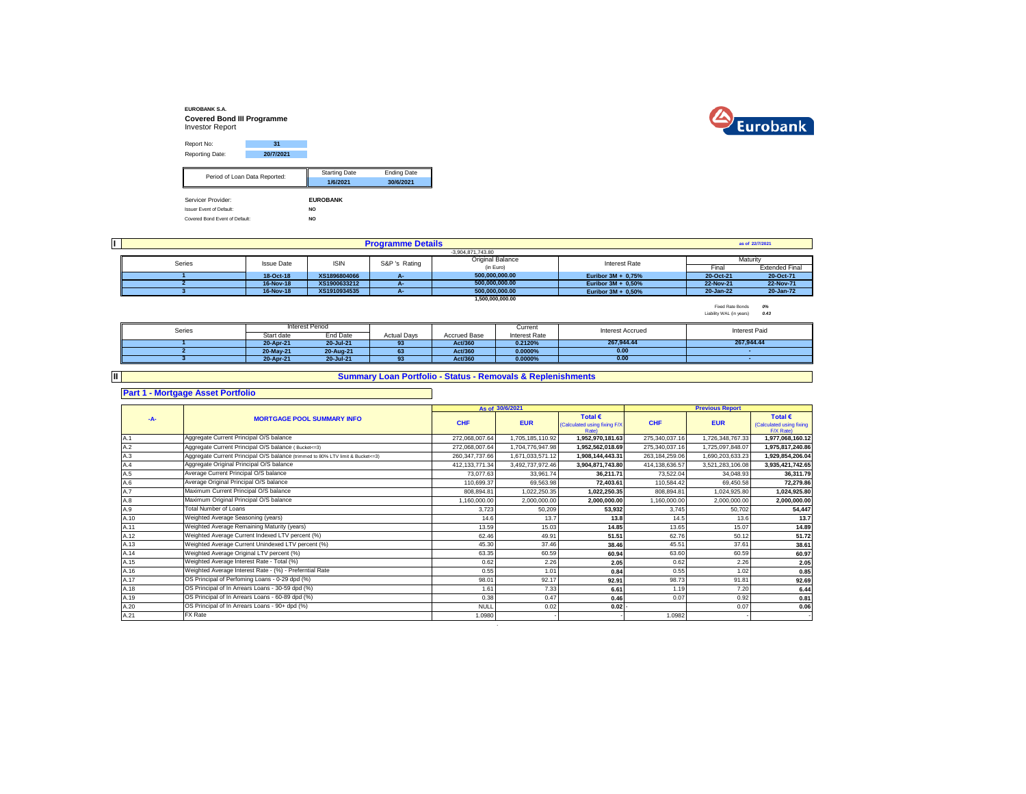



| Report No:                      | 31                            |                      |                    |
|---------------------------------|-------------------------------|----------------------|--------------------|
| Reporting Date:                 | 20/7/2021                     |                      |                    |
|                                 |                               |                      |                    |
|                                 | Period of Loan Data Reported: | <b>Starting Date</b> | <b>Ending Date</b> |
|                                 |                               | 1/6/2021             | 30/6/2021          |
|                                 |                               |                      |                    |
| Servicer Provider:              |                               | <b>EUROBANK</b>      |                    |
| <b>Issuer Event of Default:</b> |                               | NO.                  |                    |
| Covered Bond Event of Default:  |                               | NO.                  |                    |

|        | <b>Programme Details</b> |              |               |                         |                       |           | as of 22/7/2021       |
|--------|--------------------------|--------------|---------------|-------------------------|-----------------------|-----------|-----------------------|
|        |                          |              |               | $-3.904.871.743.80$     |                       |           |                       |
| Series | <b>Issue Date</b>        | <b>ISIN</b>  | S&P 's Rating | <b>Original Balance</b> | Interest Rate         |           | Maturity              |
|        |                          |              |               | (in Euro)               |                       | Fina      | <b>Extended Final</b> |
|        | 18-Oct-18                | XS1896804066 | А-            | 500.000.000.00          | Euribor $3M + 0.75%$  | 20-Oct-21 | 20-Oct-71             |
|        | 16-Nov-18                | XS1900633212 | Æ.            | 500.000.000.00          | Euribor $3M + 0.50\%$ | 22-Nov-21 | 22-Nov-71             |
|        | 16-Nov-18                | XS1910934535 |               | 500.000.000.00          | Euribor $3M + 0.50\%$ | 20-Jan-22 | 20-Jan-72             |
|        |                          |              |               | 1.500.000.000.00        |                       |           |                       |

Fixed Rate Bonds *0%* Liability WAL (in years) *0.43*

| Series |            | Interest Period |                    |              | Current       | <b>Interest Accrued</b> | Interest Paid |
|--------|------------|-----------------|--------------------|--------------|---------------|-------------------------|---------------|
|        | Start date | End Date        | <b>Actual Davs</b> | Accrued Base | Interest Rate |                         |               |
|        | 20-Apr-21  | 20-Jul-21       | 93                 | Act/360      | 0.2120%       | 267.944.44              | 267.944.44    |
|        | 20-May-21  | 20-Aug-21       | 63                 | Act/360      | $0.0000\%$    | 0.00                    |               |
|        | 20-Apr-21  | 20-Jul-21       | 93                 | Act/360      | 0.0000%       | 0.00                    |               |

**II**

## **Summary Loan Portfolio - Status - Removals & Replenishments**

**Part 1 - Mortgage Asset Portfolio**

|      |                                                                                  |                  | As of 30/6/2021  |                                                                  |                | <b>Previous Report</b> |                                                           |
|------|----------------------------------------------------------------------------------|------------------|------------------|------------------------------------------------------------------|----------------|------------------------|-----------------------------------------------------------|
| -A-  | <b>MORTGAGE POOL SUMMARY INFO</b>                                                | <b>CHF</b>       | <b>EUR</b>       | Total $\epsilon$<br>(Calculated using fixing F/X<br><b>Rate)</b> | <b>CHF</b>     | <b>EUR</b>             | Total $\epsilon$<br>(Calculated using fixing<br>F/X Rate) |
| A.1  | Aggregate Current Principal O/S balance                                          | 272.068.007.64   | 1,705,185,110.92 | 1,952,970,181.63                                                 | 275,340,037.16 | 1.726.348.767.33       | 1,977,068,160.12                                          |
| A.2  | Aggregate Current Principal O/S balance (Bucket<=3)                              | 272,068,007.64   | 1.704.776.947.98 | 1,952,562,018.69                                                 | 275,340,037.16 | 1,725,097,848.07       | 1,975,817,240.86                                          |
| A.3  | Aggregate Current Principal O/S balance (trimmed to 80% LTV limit & Bucket <= 3) | 260, 347, 737.66 | 1,671,033,571.12 | 1,908,144,443.31                                                 | 263,184,259.06 | 1,690,203,633.23       | 1,929,854,206.04                                          |
| A.4  | Aggregate Original Principal O/S balance                                         | 412, 133, 771.34 | 3,492,737,972.46 | 3,904,871,743.80                                                 | 414,138,636.57 | 3,521,283,106.08       | 3,935,421,742.65                                          |
| A.5  | Average Current Principal O/S balance                                            | 73.077.63        | 33,961.74        | 36.211.71                                                        | 73,522.04      | 34,048.93              | 36,311.79                                                 |
| A.6  | Average Original Principal O/S balance                                           | 110,699.37       | 69,563.98        | 72.403.61                                                        | 110,584.42     | 69,450.58              | 72,279.86                                                 |
| A.7  | Maximum Current Principal O/S balance                                            | 808,894.81       | 1,022,250.35     | 1,022,250.35                                                     | 808,894.81     | 1,024,925.80           | 1,024,925.80                                              |
| A.8  | Maximum Original Principal O/S balance                                           | 1,160,000.00     | 2,000,000.00     | 2,000,000.00                                                     | 1,160,000.00   | 2,000,000.00           | 2,000,000.00                                              |
| A.9  | <b>Total Number of Loans</b>                                                     | 3,723            | 50,209           | 53,932                                                           | 3,745          | 50,702                 | 54,447                                                    |
| A.10 | Weighted Average Seasoning (years)                                               | 14.6             | 13.7             | 13.8                                                             | 14.5           | 13.6                   | 13.7                                                      |
| A.11 | Weighted Average Remaining Maturity (years)                                      | 13.59            | 15.03            | 14.85                                                            | 13.65          | 15.07                  | 14.89                                                     |
| A.12 | Weighted Average Current Indexed LTV percent (%)                                 | 62.46            | 49.91            | 51.51                                                            | 62.76          | 50.12                  | 51.72                                                     |
| A.13 | Weighted Average Current Unindexed LTV percent (%)                               | 45.30            | 37.46            | 38.46                                                            | 45.51          | 37.61                  | 38.61                                                     |
| A.14 | Weighted Average Original LTV percent (%)                                        | 63.35            | 60.59            | 60.94                                                            | 63.60          | 60.59                  | 60.97                                                     |
| A.15 | Weighted Average Interest Rate - Total (%)                                       | 0.62             | 2.26             | 2.05                                                             | 0.62           | 2.26                   | 2.05                                                      |
| A.16 | Weighted Average Interest Rate - (%) - Preferntial Rate                          | 0.55             | 1.01             | 0.84                                                             | 0.55           | 1.02                   | 0.85                                                      |
| A.17 | OS Principal of Perfoming Loans - 0-29 dpd (%)                                   | 98.01            | 92.17            | 92.91                                                            | 98.73          | 91.81                  | 92.69                                                     |
| A.18 | OS Principal of In Arrears Loans - 30-59 dpd (%)                                 | 1.61             | 7.33             | 6.61                                                             | 1.19           | 7.20                   | 6.44                                                      |
| A.19 | OS Principal of In Arrears Loans - 60-89 dpd (%)                                 | 0.38             | 0.47             | 0.46                                                             | 0.07           | 0.92                   | 0.81                                                      |
| A.20 | OS Principal of In Arrears Loans - 90+ dpd (%)                                   | <b>NULI</b>      | 0.02             | 0.02                                                             |                | 0.07                   | 0.06                                                      |
| A.21 | FX Rate                                                                          | 1.0980           |                  |                                                                  | 1.0982         |                        |                                                           |

.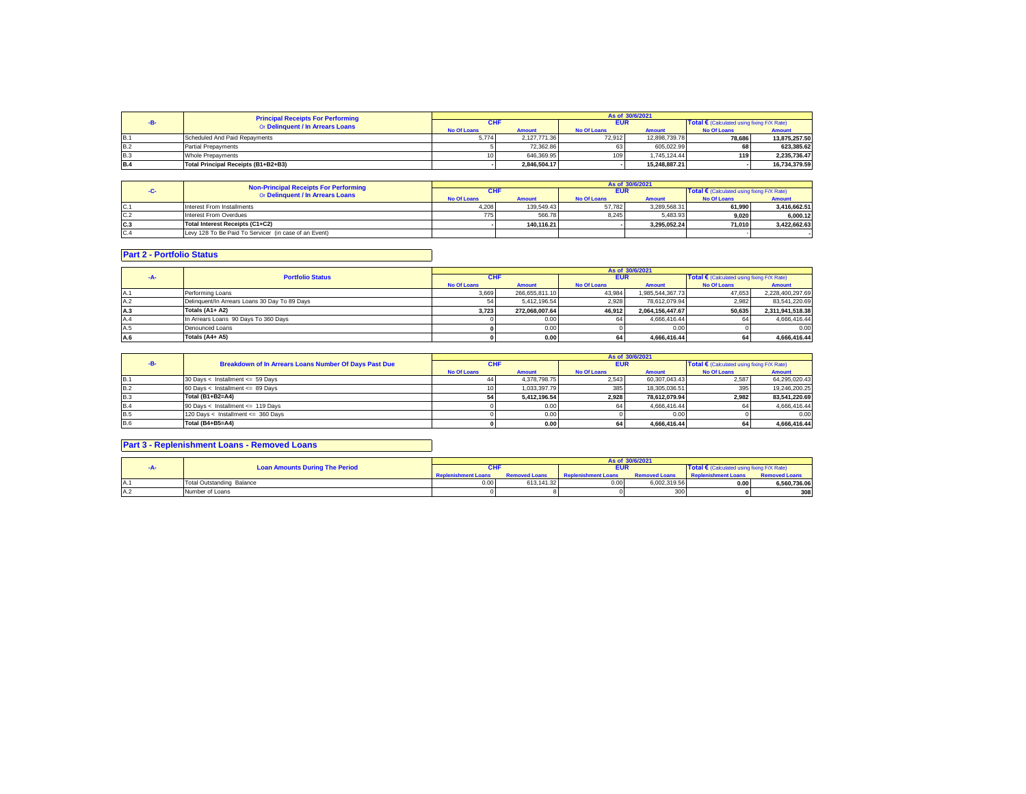|            | <b>Principal Receipts For Performing</b> | As of 30/6/2021    |               |                    |               |                                            |               |  |
|------------|------------------------------------------|--------------------|---------------|--------------------|---------------|--------------------------------------------|---------------|--|
|            | Or Delinquent / In Arrears Loans         | CHI                |               | <b>EUR</b>         |               | Total € (Calculated using fixing F/X Rate) |               |  |
|            |                                          | <b>No Of Loans</b> | <b>Amount</b> | <b>No Of Loans</b> | <b>Amount</b> | <b>No Of Loans</b>                         | <b>Amount</b> |  |
| <b>B.1</b> | Scheduled And Paid Repayments            | 5.774              | 2.127.771.36  | 72.912             | 12.898.739.78 | 78.686                                     | 13.875.257.50 |  |
| <b>B.2</b> | <b>Partial Prepayments</b>               |                    | 72.362.86     |                    | 605.022.99    | 68                                         | 623.385.62    |  |
| <b>B.3</b> | Whole Prepayments                        | 10.                | 646,369.95    | 109                | 1.745.124.44  | 119                                        | 2.235.736.47  |  |
| <b>B.4</b> | Total Principal Receipts (B1+B2+B3)      |                    | 2.846.504.17  |                    | 15.248.887.21 |                                            | 16.734.379.59 |  |

|      | <b>Non-Principal Receipts For Performing</b>          | As of 30/6/2021    |               |                    |               |                                                     |               |  |
|------|-------------------------------------------------------|--------------------|---------------|--------------------|---------------|-----------------------------------------------------|---------------|--|
|      | Or Delinquent / In Arrears Loans                      | <b>CHF</b>         |               | <b>EUR</b>         |               | Total $\epsilon$ (Calculated using fixing F/X Rate) |               |  |
|      |                                                       | <b>No Of Loans</b> | <b>Amount</b> | <b>No Of Loans</b> | <b>Amount</b> | <b>No Of Loans</b>                                  | <b>Amount</b> |  |
| IC.1 | Interest From Installments                            | 4.208              | 139.549.43    | 57.782             | 3.289.568.31  | 61.990                                              | 3.416.662.51  |  |
| C.2  | Interest From Overdues                                | 775                | 566.78        | 8.245              | 5.483.93      | 9.020                                               | 6.000.12      |  |
| C.3  | Total Interest Receipts (C1+C2)                       |                    | 140.116.21    |                    | 3.295.052.24  | 71.010                                              | 3.422.662.63  |  |
| C.4  | Levy 128 To Be Paid To Servicer (in case of an Event) |                    |               |                    |               |                                                     |               |  |

## **Part 2 - Portfolio Status**

|     |                                               |                    |                |                    | As of 30/6/2021  |                                                     |                  |
|-----|-----------------------------------------------|--------------------|----------------|--------------------|------------------|-----------------------------------------------------|------------------|
|     | <b>Portfolio Status</b>                       | <b>CHF</b>         |                | <b>EUR</b>         |                  | Total $\epsilon$ (Calculated using fixing F/X Rate) |                  |
|     |                                               | <b>No Of Loans</b> | <b>Amount</b>  | <b>No Of Loans</b> | <b>Amount</b>    | <b>No Of Loans</b>                                  | <b>Amount</b>    |
| A.1 | Performing Loans                              | 3.669              | 266.655.811.10 | 43.984             | 1.985.544.367.73 | 47.653                                              | 2.228.400.297.69 |
| A.2 | Delinguent/In Arrears Loans 30 Day To 89 Days |                    | 5.412.196.54   | 2.928              | 78.612.079.94    | 2.982                                               | 83.541.220.69    |
| A.3 | Totals (A1+ A2)                               | 3.723              | 272.068.007.64 | 46.912             | 2.064.156.447.67 | 50.635                                              | 2.311.941.518.38 |
| A.4 | In Arrears Loans 90 Days To 360 Days          |                    | 0.00           |                    | 4.666.416.44     |                                                     | 4,666,416.44     |
| A.5 | Denounced Loans                               |                    | 0.00           |                    | 0.00             |                                                     | 0.00             |
| A.6 | Totals (A4+ A5)                               |                    | 0.00           | 64                 | 4.666.416.44     |                                                     | 4.666.416.44     |

|            |                                                       |                    |               |                    | As of 30/6/2021 |                                                     |               |
|------------|-------------------------------------------------------|--------------------|---------------|--------------------|-----------------|-----------------------------------------------------|---------------|
|            | Breakdown of In Arrears Loans Number Of Days Past Due | <b>CHF</b>         |               | <b>EUR</b>         |                 | Total $\epsilon$ (Calculated using fixing F/X Rate) |               |
|            |                                                       | <b>No Of Loans</b> | <b>Amount</b> | <b>No Of Loans</b> | <b>Amount</b>   | <b>No Of Loans</b>                                  | <b>Amount</b> |
| <b>B.1</b> | 30 Days < Installment <= 59 Days                      |                    | 4.378.798.75  | 2.543              | 60.307.043.43   | 2.587                                               | 64.295.020.43 |
| <b>B.2</b> | 60 Days < Installment <= 89 Days                      |                    | 1.033.397.79  | 385                | 18.305.036.51   |                                                     | 19,246,200.25 |
| B.3        | Total (B1+B2=A4)                                      |                    | 5.412.196.54  | 2.928              | 78.612.079.94   | 2.982                                               | 83.541.220.69 |
| B.4        | 90 Days < Installment <= 119 Days                     |                    | 0.00          |                    | 4.666.416.44    |                                                     | 4.666.416.44  |
| <b>B.5</b> | 120 Days < Installment <= 360 Days                    |                    | 0.00          |                    | 0.00            |                                                     | 0.00          |
| <b>B.6</b> | Total (B4+B5=A4)                                      |                    | 0.00          | 64                 | 4.666.416.44    |                                                     | 4.666.416.44  |

## **Part 3 - Replenishment Loans - Removed Loans**

|                                       |                            |                      |                            | As of 30/6/2021      |                                                     |                      |
|---------------------------------------|----------------------------|----------------------|----------------------------|----------------------|-----------------------------------------------------|----------------------|
| <b>Loan Amounts During The Period</b> | <b>CHF</b>                 |                      | <b>EUR</b>                 |                      | Total $\epsilon$ (Calculated using fixing F/X Rate) |                      |
|                                       | <b>Replenishment Loans</b> | <b>Removed Loans</b> | <b>Replenishment Loans</b> | <b>Removed Loans</b> | <b>Replenishment Loans</b>                          | <b>Removed Loans</b> |
| Total Outstanding Balance             | 0.00                       | 613.141.32           | 0.00                       | 6.002.319.56         | 0.001                                               | 6,560,736.06         |
| Number of Loans                       |                            |                      |                            | 300                  |                                                     | 308                  |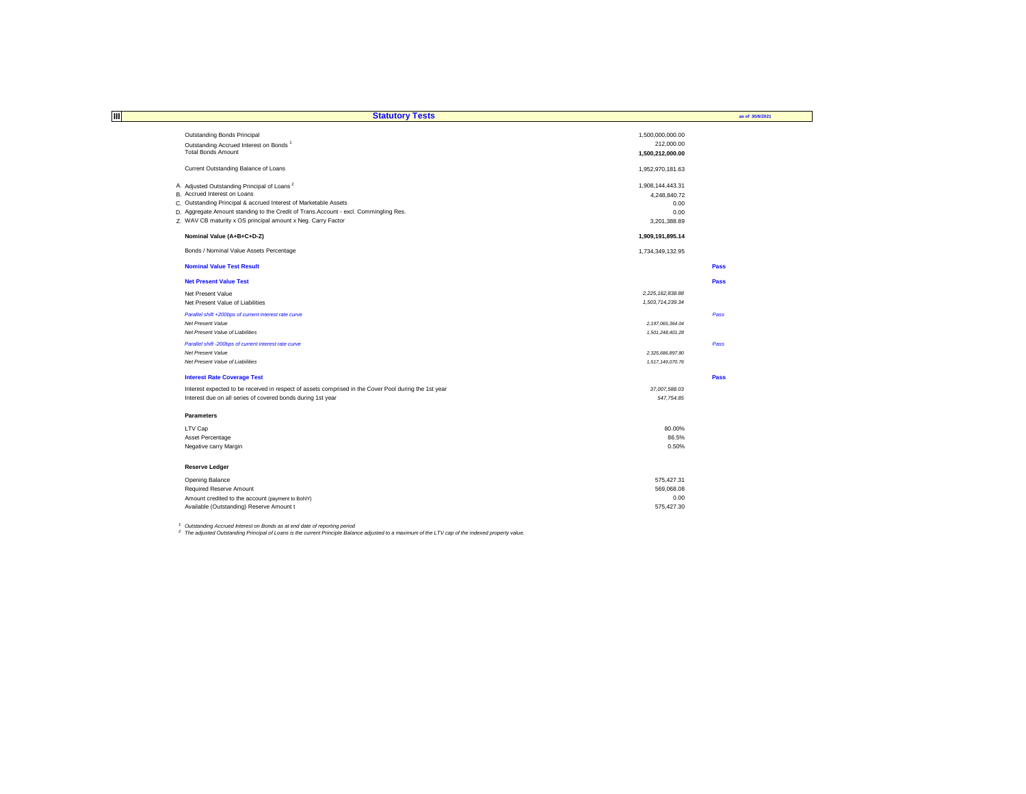| ШI<br><b>Statutory Tests</b>                                                                          |                     | as of 30/6/2021 |
|-------------------------------------------------------------------------------------------------------|---------------------|-----------------|
|                                                                                                       |                     |                 |
| Outstanding Bonds Principal                                                                           | 1,500,000,000.00    |                 |
| Outstanding Accrued Interest on Bonds <sup>1</sup>                                                    | 212,000.00          |                 |
| <b>Total Bonds Amount</b>                                                                             | 1,500,212,000.00    |                 |
| Current Outstanding Balance of Loans                                                                  | 1,952,970,181.63    |                 |
| A. Adjusted Outstanding Principal of Loans <sup>2</sup>                                               | 1,908,144,443.31    |                 |
| B. Accrued Interest on Loans                                                                          | 4,248,840.72        |                 |
| C. Outstanding Principal & accrued Interest of Marketable Assets                                      | 0.00                |                 |
| D. Aggregate Amount standing to the Credit of Trans.Account - excl. Commingling Res.                  | 0.00                |                 |
| Z. WAV CB maturity x OS principal amount x Neg. Carry Factor                                          | 3,201,388.89        |                 |
| Nominal Value (A+B+C+D-Z)                                                                             | 1,909,191,895.14    |                 |
| Bonds / Nominal Value Assets Percentage                                                               | 1,734,349,132.95    |                 |
| <b>Nominal Value Test Result</b>                                                                      |                     | Pass            |
| <b>Net Present Value Test</b>                                                                         |                     | Pass            |
| Net Present Value                                                                                     | 2,225,162,838.88    |                 |
| Net Present Value of Liabilities                                                                      | 1,503,714,239.34    |                 |
| Parallel shift +200bps of current interest rate curve                                                 |                     | Pass            |
| <b>Net Present Value</b>                                                                              | 2, 197, 065, 364.04 |                 |
| Net Present Value of Liabilities                                                                      | 1,501,248,401.28    |                 |
| Parallel shift -200bps of current interest rate curve                                                 |                     | Pass            |
| <b>Net Present Value</b>                                                                              | 2.325.686.897.80    |                 |
| Net Present Value of Liabilities                                                                      | 1,517,149,070.76    |                 |
| <b>Interest Rate Coverage Test</b>                                                                    |                     | Pass            |
| Interest expected to be received in respect of assets comprised in the Cover Pool during the 1st year | 37,007,588.03       |                 |
| Interest due on all series of covered bonds during 1st year                                           | 547,754.85          |                 |
| <b>Parameters</b>                                                                                     |                     |                 |
| LTV Cap                                                                                               | 80.00%              |                 |
| Asset Percentage                                                                                      | 86.5%               |                 |
| Negative carry Margin                                                                                 | 0.50%               |                 |
| <b>Reserve Ledger</b>                                                                                 |                     |                 |
| Opening Balance                                                                                       | 575,427.31          |                 |
| Required Reserve Amount                                                                               | 569,068.08          |                 |
| Amount credited to the account (payment to BoNY)                                                      | 0.00                |                 |
| Available (Outstanding) Reserve Amount t                                                              | 575.427.30          |                 |

<sup>1</sup> Outstanding Accrued Interest on Bonds as at end date of reporting period<br><sup>2</sup> The adjusted Outstanding Principal of Loans is the current Principle Balance adjusted to a maximum of the LTV cap of the indexed property val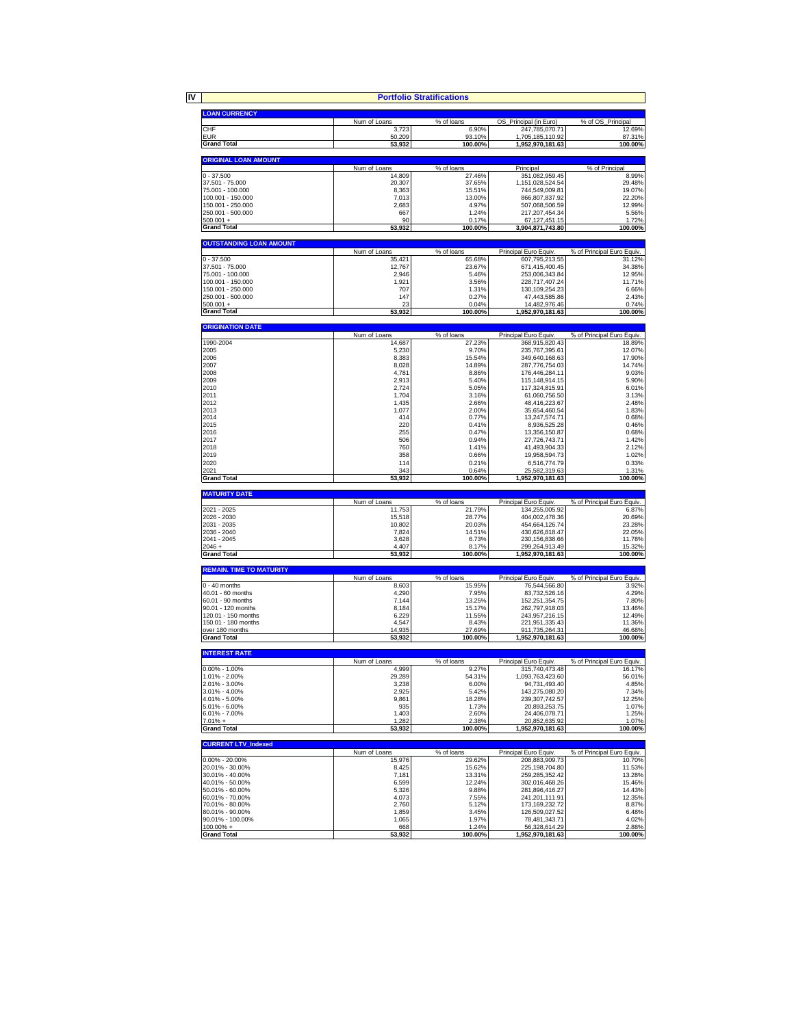|                                            |                        | <b>Portfolio Stratifications</b> |                                         |                                      |
|--------------------------------------------|------------------------|----------------------------------|-----------------------------------------|--------------------------------------|
| <b>LOAN CURRENCY</b>                       |                        |                                  |                                         |                                      |
|                                            | Num of Loans           | % of loans                       | OS Principal (in Euro)                  | % of OS_Principal                    |
| CHF<br><b>EUR</b>                          | 3,723                  | 6.90%                            | 247,785,070.71                          | 12.69%                               |
| <b>Grand Total</b>                         | 50,209<br>53,932       | 93.10%<br>100.00%                | 1,705,185,110.92<br>1,952,970,181.63    | 87.31%<br>100.00%                    |
|                                            |                        |                                  |                                         |                                      |
| <b>ORIGINAL LOAN AMOUNT</b>                | Num of Loans           | % of loans                       | Principal                               | % of Principal                       |
| $0 - 37,500$                               | 14,809                 | 27.46%                           | 351,082,959.45                          | 8.99%                                |
| 37.501 - 75.000<br>75.001 - 100.000        | 20,307<br>8,363        | 37.65%<br>15.51%                 | 1,151,028,524.54<br>744,549,009.81      | 29.48%<br>19.07%                     |
| 100.001 - 150.000                          | 7,013                  | 13.00%                           | 866,807,837.92                          | 22.20%                               |
| 150.001 - 250.000                          | 2,683                  | 4.97%                            | 507,068,506.59                          | 12.99%                               |
| 250.001 - 500.000<br>$500.001 +$           | 667<br>90              | 1.24%<br>0.17%                   | 217, 207, 454. 34                       | 5.56%<br>1.72%                       |
| <b>Grand Total</b>                         | 53,932                 | 100.00%                          | 67, 127, 451. 15<br>3,904,871,743.80    | 100.00%                              |
| <b>OUTSTANDING LOAN AMOUNT</b>             |                        |                                  |                                         |                                      |
|                                            | Num of Loans           | % of loans                       | Principal Euro Equiv.                   | % of Principal Euro Equiv.           |
| $0 - 37.500$                               | 35,421                 | 65.68%                           | 607,795,213.55                          | 31.12%                               |
| 37.501 - 75.000<br>75.001 - 100.000        | 12,767<br>2.946        | 23.67%<br>5.46%                  | 671,415,400.45<br>253,006,343.84        | 34.38%<br>12.95%                     |
| 100.001 - 150.000                          | 1,921                  | 3.56%                            | 228,717,407.24                          | 11.71%                               |
| 150.001 - 250.000                          | 707                    | 1.31%                            | 130, 109, 254. 23                       | 6.66%                                |
| 250.001 - 500.000                          | 147                    | 0.27%                            | 47,443,585.86                           | 2.43%                                |
| $500.001 +$<br><b>Grand Total</b>          | 23<br>53,932           | 0.04%<br>100.00%                 | 14,482,976.46<br>1,952,970,181.63       | 0.74%<br>100.00%                     |
|                                            |                        |                                  |                                         |                                      |
| <b>ORIGINATION DATE</b>                    | Num of Loans           | % of loans                       | Principal Euro Equiv.                   | % of Principal Euro Equiv.           |
| 1990-2004                                  | 14,687                 | 27.23%                           | 368,915,820.43                          | 18.89%                               |
| 2005                                       | 5,230                  | 9.70%                            | 235,767,395.61                          | 12.07%                               |
| 2006<br>2007                               | 8,383<br>8,028         | 15.54%<br>14.89%                 | 349,640,168.63<br>287,776,754.03        | 17.90%<br>14.74%                     |
| 2008                                       | 4,781                  | 8.86%                            | 176,446,284.11                          | 9.03%                                |
| 2009                                       | 2,913                  | 5.40%                            | 115.148.914.15                          | 5.90%                                |
| 2010                                       | 2,724                  | 5.05%                            | 117,324,815.91                          | 6.01%                                |
| 2011                                       | 1,704                  | 3.16%                            | 61,060,756.50                           | 3.13%                                |
| 2012<br>2013                               | 1,435<br>1,077         | 2.66%<br>2.00%                   | 48,416,223.67<br>35,654,460.54          | 2.48%<br>1.83%                       |
| 2014                                       | 414                    | 0.77%                            | 13,247,574.71                           | 0.68%                                |
| 2015                                       | 220                    | 0.41%                            | 8,936,525.28                            | 0.46%                                |
| 2016                                       | 255                    | 0.47%                            | 13,356,150.87                           | 0.68%                                |
| 2017                                       | 506                    | 0.94%                            | 27,726,743.71                           | 1.42%                                |
| 2018                                       | 760                    | 1.41%                            | 41,493,904.33                           | 2.12%                                |
| 2019<br>2020                               | 358<br>114             | 0.66%<br>0.21%                   | 19,958,594.73<br>6,516,774.79           | 1.02%<br>0.33%                       |
| 2021                                       | 343                    | 0.64%                            | 25,582,319.63                           | 1.31%                                |
| <b>Grand Total</b>                         | 53,932                 | 100.00%                          | 1,952,970,181.63                        | 100.00%                              |
| <b>MATURITY DATE</b>                       |                        |                                  |                                         |                                      |
| 2021 - 2025                                | Num of Loans<br>11,753 | % of loans<br>21.79%             | Principal Euro Equiv<br>134,255,005.92  | % of Principal Euro Equiv.<br>6.87%  |
| 2026 - 2030                                | 15,518                 | 28.77%                           | 404,002,478.36                          | 20.69%                               |
| 2031 - 2035                                | 10,802                 | 20.03%                           | 454,664,126.74                          | 23.28%                               |
| 2036 - 2040                                | 7,824                  | 14.51%                           | 430,626,818.47                          | 22.05%                               |
| 2041 - 2045<br>$2046 +$                    | 3,628<br>4,407         | 6.73%<br>8.17%                   | 230, 156, 838.66<br>299,264,913.49      | 11.78%<br>15.32%                     |
| <b>Grand Total</b>                         | 53,932                 | 100.00%                          | 1,952,970,181.63                        | 100.00%                              |
| <b>REMAIN. TIME TO MATURITY</b>            |                        |                                  |                                         |                                      |
| $0 - 40$ months                            | Num of Loans           | % of loans                       | Principal Euro Equiv.                   | % of Principal Euro Equiv.           |
| 40.01 - 60 months                          | 8,603<br>4,290         | 15.95%<br>7.95%                  | 76,544,566.80<br>83.732.526.16          | 3.92%<br>4.29%                       |
| 60.01 - 90 months                          | 7,144                  | 13.25%                           | 152,251,354.75                          | 7.80%                                |
| 90.01 - 120 months                         | 8,184                  | 15.17%                           | 262,797,918.03                          | 13.46%                               |
| 120.01 - 150 months<br>150.01 - 180 months | 6,229                  | 11.55%                           | 243,957,216.15                          | 12.49%                               |
| over 180 months                            | 4,547<br>14,935        | 8.43%<br>27.69%                  | 221,951,335.43<br>911,735,264.31        | 11.36%<br>46.68%                     |
| <b>Grand Total</b>                         | 53,932                 | 100.00%                          | 1,952,970,181.63                        | 100.00%                              |
| <b>INTEREST RATE</b>                       |                        |                                  |                                         |                                      |
|                                            | Num of Loans<br>4999   | % of loans                       | Principal Euro Equiv.<br>315,740,473.48 | % of Principal Euro Equiv.<br>16 17% |
| $0.00\% - 1.00\%$<br>1.01% - 2.00%         | 29,289                 | 9.27%<br>54.31%                  | 1,093,763,423.60                        | 56.01%                               |
| 2.01% - 3.00%                              | 3,238                  | 6.00%                            | 94,731,493.40                           | 4.85%                                |
| $3.01\% - 4.00\%$                          | 2,925                  | 5.42%                            | 143,275,080.20                          | 7.34%                                |
| 4.01% - 5.00%                              | 9,861                  | 18.28%                           | 239, 307, 742.57                        | 12.25%                               |
| 5.01% - 6.00%<br>6.01% - 7.00%             | 935<br>1,403           | 1.73%<br>2.60%                   | 20,893,253.75<br>24,406,078.71          | 1.07%<br>1.25%                       |
| $7.01% +$                                  | 1,282                  | 2.38%                            | 20.852.635.92                           | 1.07%                                |
| <b>Grand Total</b>                         | 53,932                 | 100.00%                          | 1,952,970,181.63                        | 100.00%                              |
| <b>CURRENT LTV_Indexed</b>                 |                        |                                  |                                         |                                      |
| $0.00\% - 20.00\%$                         | Num of Loans<br>15,976 | % of loans<br>29.62%             | Principal Euro Equiv.<br>208.883.909.73 | % of Principal Euro Equiv.<br>10.70% |
| 20.01% - 30.00%                            | 8,425                  | 15.62%                           | 225, 198, 704.80                        | 11.53%                               |
| 30.01% - 40.00%                            | 7,181                  | 13.31%                           | 259,285,352.42                          | 13.28%                               |
| 40.01% - 50.00%                            | 6,599                  | 12.24%                           | 302,016,468.26                          | 15.46%                               |
| 50.01% - 60.00%                            | 5,326                  | 9.88%                            | 281,896,416.27                          | 14.43%                               |
| 60.01% - 70.00%<br>70.01% - 80.00%         | 4,073<br>2,760         | 7.55%<br>5.12%                   | 241,201,111.91                          | 12.35%<br>8.87%                      |
| 80.01% - 90.00%                            | 1,859                  | 3.45%                            | 173, 169, 232. 72<br>126.509.027.52     | 6.48%                                |
| 90.01% - 100.00%                           | 1,065                  | 1.97%                            | 78,481,343.71                           | 4.02%                                |
|                                            | 668                    | 1.24%                            | 56,328,614.29                           | 2.88%                                |
| 100.00% +<br><b>Grand Total</b>            | 53,932                 | 100.00%                          | 1,952,970,181.63                        | 100.00%                              |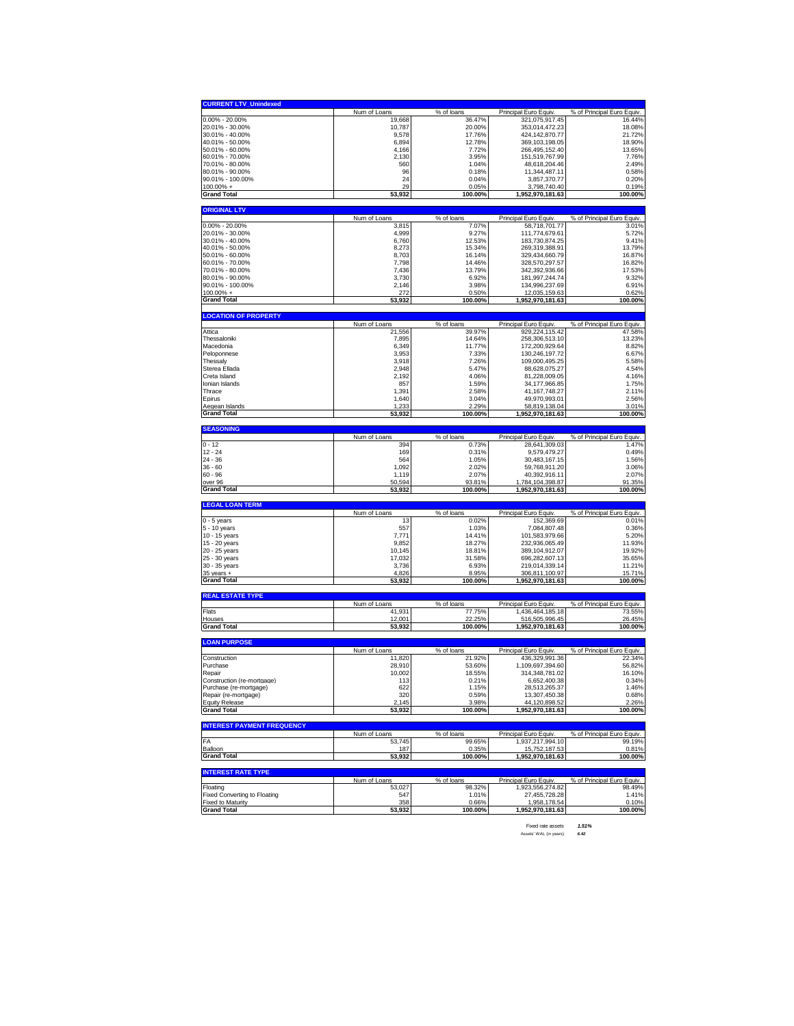| <b>CURRENT LTV_Unindexed</b>                                                                                                                                                                                                                                                                                                                                                                                                                                                                                                                                                              |                     |                     |                                       |                                     |
|-------------------------------------------------------------------------------------------------------------------------------------------------------------------------------------------------------------------------------------------------------------------------------------------------------------------------------------------------------------------------------------------------------------------------------------------------------------------------------------------------------------------------------------------------------------------------------------------|---------------------|---------------------|---------------------------------------|-------------------------------------|
|                                                                                                                                                                                                                                                                                                                                                                                                                                                                                                                                                                                           | Num of Loans        | % of loans          | Principal Euro Equiv.                 | % of Principal Euro Equiv.          |
| $0.00\% - 20.00\%$                                                                                                                                                                                                                                                                                                                                                                                                                                                                                                                                                                        | 19,668              | 36.47%              | 321,075,917.45                        | 16.44%                              |
| 20.01% - 30.00%                                                                                                                                                                                                                                                                                                                                                                                                                                                                                                                                                                           | 10,787              | 20.00%              | 353,014,472.23                        | 18.08%                              |
| 30.01% - 40.00%                                                                                                                                                                                                                                                                                                                                                                                                                                                                                                                                                                           | 9,578               | 17.76%              | 424,142,870.77                        | 21.72%                              |
| 40.01% - 50.00%                                                                                                                                                                                                                                                                                                                                                                                                                                                                                                                                                                           | 6,894               | 12.78%              | 369, 103, 198.05                      | 18.90%                              |
| 50.01% - 60.00%                                                                                                                                                                                                                                                                                                                                                                                                                                                                                                                                                                           | 4,166               | 7.72%               | 266,495,152.40                        | 13.65%                              |
| 60.01% - 70.00%                                                                                                                                                                                                                                                                                                                                                                                                                                                                                                                                                                           | 2,130               | 3.95%               | 151,519,767.99                        | 7.76%                               |
| 70.01% - 80.00%                                                                                                                                                                                                                                                                                                                                                                                                                                                                                                                                                                           | 560                 | 1.04%               | 48,618,204.46                         | 2.49%                               |
| 80.01% - 90.00%                                                                                                                                                                                                                                                                                                                                                                                                                                                                                                                                                                           | 96                  | 0.18%               | 11,344,487.11                         | 0.58%                               |
| 90.01% - 100.00%                                                                                                                                                                                                                                                                                                                                                                                                                                                                                                                                                                          | 24                  | 0.04%               | 3,857,370.77                          | 0.20%                               |
| 100.00% +                                                                                                                                                                                                                                                                                                                                                                                                                                                                                                                                                                                 | 29                  | 0.05%               | 3,798,740.40                          | 0.19%                               |
| <b>Grand Total</b>                                                                                                                                                                                                                                                                                                                                                                                                                                                                                                                                                                        | 53,932              | 100.00%             | 1,952,970,181.63                      | 100.00%                             |
| <b>ORIGINAL LTV</b>                                                                                                                                                                                                                                                                                                                                                                                                                                                                                                                                                                       |                     |                     |                                       |                                     |
|                                                                                                                                                                                                                                                                                                                                                                                                                                                                                                                                                                                           | Num of Loans        | % of loans          | Principal Euro Equiv.                 | % of Principal Euro Equiv.          |
| 0.00% - 20.00%                                                                                                                                                                                                                                                                                                                                                                                                                                                                                                                                                                            | 3,815               | 7.07%               | 58,718,701.77                         | 3.01%                               |
| 20.01% - 30.00%                                                                                                                                                                                                                                                                                                                                                                                                                                                                                                                                                                           | 4,999               | 9.27%               | 111,774,679.61                        | 5.72%                               |
| 30.01% - 40.00%                                                                                                                                                                                                                                                                                                                                                                                                                                                                                                                                                                           | 6,760               | 12.53%              | 183.730.874.25                        | 9.41%                               |
| 40.01% - 50.00%                                                                                                                                                                                                                                                                                                                                                                                                                                                                                                                                                                           | 8,273               | 15.34%              | 269,319,388.91                        | 13.79%                              |
| 50.01% - 60.00%                                                                                                                                                                                                                                                                                                                                                                                                                                                                                                                                                                           | 8,703               | 16.14%              | 329,434,660.79                        | 16.87%                              |
| 60.01% - 70.00%                                                                                                                                                                                                                                                                                                                                                                                                                                                                                                                                                                           | 7,798               | 14.46%              | 328,570,297.57                        | 16.82%                              |
| 70.01% - 80.00%                                                                                                                                                                                                                                                                                                                                                                                                                                                                                                                                                                           | 7,436               | 13.79%              | 342,392,936.66                        | 17.53%                              |
| 80.01% - 90.00%                                                                                                                                                                                                                                                                                                                                                                                                                                                                                                                                                                           | 3,730               | 6.92%               | 181,997,244.74                        | 9.32%                               |
| 90.01% - 100.00%                                                                                                                                                                                                                                                                                                                                                                                                                                                                                                                                                                          | 2,146               | 3.98%               | 134,996,237.69                        | 6.91%                               |
| 100.00% +                                                                                                                                                                                                                                                                                                                                                                                                                                                                                                                                                                                 | 272                 | 0.50%               | 12,035,159.63                         | 0.62%                               |
| <b>Grand Total</b>                                                                                                                                                                                                                                                                                                                                                                                                                                                                                                                                                                        | 53,932              | 100.00%             | 1,952,970,181.63                      | 100.00%                             |
|                                                                                                                                                                                                                                                                                                                                                                                                                                                                                                                                                                                           |                     |                     |                                       |                                     |
| <b>LOCATION OF PROPERTY</b>                                                                                                                                                                                                                                                                                                                                                                                                                                                                                                                                                               | Num of Loans        | % of loans          | Principal Euro Equiv.                 | % of Principal Euro Equiv.          |
| Attica                                                                                                                                                                                                                                                                                                                                                                                                                                                                                                                                                                                    | 21,556              | 39.97%              | 929,224,115.42                        | 47.58%                              |
| Thessaloniki                                                                                                                                                                                                                                                                                                                                                                                                                                                                                                                                                                              | 7,895               | 14.64%              | 258,306,513.10                        | 13.23%                              |
| Macedonia                                                                                                                                                                                                                                                                                                                                                                                                                                                                                                                                                                                 | 6,349               | 11.77%              | 172,200,929.64                        | 8.82%                               |
| Peloponnese                                                                                                                                                                                                                                                                                                                                                                                                                                                                                                                                                                               | 3,953               | 7.33%               | 130,246,197.72                        | 6.67%                               |
| Thessaly                                                                                                                                                                                                                                                                                                                                                                                                                                                                                                                                                                                  | 3,918               | 7.26%               | 109.000.495.25                        | 5.58%                               |
| Sterea Ellada                                                                                                                                                                                                                                                                                                                                                                                                                                                                                                                                                                             | 2,948               | 5.47%               | 88,628,075.27                         | 4.54%                               |
| Creta Island                                                                                                                                                                                                                                                                                                                                                                                                                                                                                                                                                                              | 2,192               | 4.06%               | 81,228,009.05                         | 4.16%                               |
| Ionian Islands                                                                                                                                                                                                                                                                                                                                                                                                                                                                                                                                                                            | 857                 | 1.59%               | 34, 177, 966.85                       | 1.75%                               |
| Thrace                                                                                                                                                                                                                                                                                                                                                                                                                                                                                                                                                                                    | 1,391               | 2.58%               | 41, 167, 748. 27                      | 2.11%                               |
| Epirus                                                                                                                                                                                                                                                                                                                                                                                                                                                                                                                                                                                    | 1,640               | 3.04%               | 49,970,993.01                         | 2.56%                               |
| Aegean Islands                                                                                                                                                                                                                                                                                                                                                                                                                                                                                                                                                                            | 1,233               | 2.29%               | 58,819,138.04                         | 3.01%                               |
| <b>Grand Total</b>                                                                                                                                                                                                                                                                                                                                                                                                                                                                                                                                                                        | 53,932              | 100.00%             | 1,952,970,181.63                      | 100.00%                             |
|                                                                                                                                                                                                                                                                                                                                                                                                                                                                                                                                                                                           |                     |                     |                                       |                                     |
| <b>SEASONING</b>                                                                                                                                                                                                                                                                                                                                                                                                                                                                                                                                                                          |                     |                     |                                       |                                     |
| 0 - 12                                                                                                                                                                                                                                                                                                                                                                                                                                                                                                                                                                                    | Num of Loans<br>394 | % of loans<br>0.73% | Principal Euro Equiv<br>28,641,309.03 | % of Principal Euro Equiv.<br>1.47% |
| $12 - 24$                                                                                                                                                                                                                                                                                                                                                                                                                                                                                                                                                                                 | 169                 | 0.31%               | 9,579,479.27                          | 0.49%                               |
| 24 - 36                                                                                                                                                                                                                                                                                                                                                                                                                                                                                                                                                                                   | 564                 | 1.05%               | 30,483,167.15                         | 1.56%                               |
|                                                                                                                                                                                                                                                                                                                                                                                                                                                                                                                                                                                           |                     |                     |                                       |                                     |
|                                                                                                                                                                                                                                                                                                                                                                                                                                                                                                                                                                                           |                     |                     |                                       |                                     |
|                                                                                                                                                                                                                                                                                                                                                                                                                                                                                                                                                                                           | 1,092               | 2.02%               | 59,768,911.20                         | 3.06%                               |
|                                                                                                                                                                                                                                                                                                                                                                                                                                                                                                                                                                                           | 1,119               | 2.07%               | 40,392,916.11                         | 2.07%                               |
|                                                                                                                                                                                                                                                                                                                                                                                                                                                                                                                                                                                           | 50,594              | 93.81%              | 1,784,104,398.87                      | 91.35%                              |
|                                                                                                                                                                                                                                                                                                                                                                                                                                                                                                                                                                                           | 53,932              | 100.00%             | 1,952,970,181.63                      | 100.00%                             |
|                                                                                                                                                                                                                                                                                                                                                                                                                                                                                                                                                                                           |                     |                     |                                       |                                     |
|                                                                                                                                                                                                                                                                                                                                                                                                                                                                                                                                                                                           | Num of Loans        | % of loans          | Principal Euro Equiv.                 | % of Principal Euro Equiv.          |
|                                                                                                                                                                                                                                                                                                                                                                                                                                                                                                                                                                                           | 13                  | 0.02%               | 152,369.69                            | 0.01%                               |
|                                                                                                                                                                                                                                                                                                                                                                                                                                                                                                                                                                                           | 557                 | 1.03%               | 7,084,807.48                          | 0.36%                               |
|                                                                                                                                                                                                                                                                                                                                                                                                                                                                                                                                                                                           | 7,771               | 14.41%              | 101,583,979.66                        | 5.20%                               |
|                                                                                                                                                                                                                                                                                                                                                                                                                                                                                                                                                                                           | 9,852               | 18.27%              | 232,936,065.49                        | 11.93%                              |
|                                                                                                                                                                                                                                                                                                                                                                                                                                                                                                                                                                                           | 10,145              | 18.81%              | 389,104,912.07                        | 19.92%                              |
|                                                                                                                                                                                                                                                                                                                                                                                                                                                                                                                                                                                           | 17,032              | 31.58%              | 696,282,607.13                        | 35.65%                              |
|                                                                                                                                                                                                                                                                                                                                                                                                                                                                                                                                                                                           | 3,736               | 6.93%               | 219,014,339.14<br>306.811.100.97      | 11.21%                              |
|                                                                                                                                                                                                                                                                                                                                                                                                                                                                                                                                                                                           | 4,826<br>53,932     | 8.95%<br>100.00%    | 1,952,970,181.63                      | 15.71%<br>100.00%                   |
|                                                                                                                                                                                                                                                                                                                                                                                                                                                                                                                                                                                           |                     |                     |                                       |                                     |
|                                                                                                                                                                                                                                                                                                                                                                                                                                                                                                                                                                                           |                     |                     |                                       |                                     |
|                                                                                                                                                                                                                                                                                                                                                                                                                                                                                                                                                                                           | Num of Loans        | % of loans          | Principal Euro Equiv                  | % of Principal Euro Equiv.          |
|                                                                                                                                                                                                                                                                                                                                                                                                                                                                                                                                                                                           | 41,931              | 77.75%              | 1,436,464,185.18                      | 73.55%                              |
|                                                                                                                                                                                                                                                                                                                                                                                                                                                                                                                                                                                           | 12,001<br>53,932    | 22.25%<br>100.00%   | 516,505,996.45<br>1,952,970,181.63    | 26.45%<br>100.00%                   |
|                                                                                                                                                                                                                                                                                                                                                                                                                                                                                                                                                                                           |                     |                     |                                       |                                     |
|                                                                                                                                                                                                                                                                                                                                                                                                                                                                                                                                                                                           |                     |                     |                                       |                                     |
|                                                                                                                                                                                                                                                                                                                                                                                                                                                                                                                                                                                           | Num of Loans        | % of loans          | Principal Euro Equiv.                 | % of Principal Euro Equiv.          |
|                                                                                                                                                                                                                                                                                                                                                                                                                                                                                                                                                                                           | 11,820              | 21.92%              | 436,329,991.36                        | 22.34%                              |
|                                                                                                                                                                                                                                                                                                                                                                                                                                                                                                                                                                                           | 28,910              | 53.60%              | 1,109,697,394.60                      | 56.82%                              |
|                                                                                                                                                                                                                                                                                                                                                                                                                                                                                                                                                                                           | 10,002              | 18.55%              | 314,348,781.02                        | 16.10%                              |
|                                                                                                                                                                                                                                                                                                                                                                                                                                                                                                                                                                                           | 113                 | 0.21%               | 6.652.400.38                          | 0.34%                               |
|                                                                                                                                                                                                                                                                                                                                                                                                                                                                                                                                                                                           | 622                 | 1.15%               | 28,513,265.37                         | 1.46%                               |
|                                                                                                                                                                                                                                                                                                                                                                                                                                                                                                                                                                                           | 320                 | 0.59%               | 13,307,450.38                         | 0.68%                               |
|                                                                                                                                                                                                                                                                                                                                                                                                                                                                                                                                                                                           | 2,145               | 3.98%               | 44,120,898.52                         | 2.26%                               |
|                                                                                                                                                                                                                                                                                                                                                                                                                                                                                                                                                                                           | 53,932              | 100.00%             | 1,952,970,181.63                      | 100.00%                             |
|                                                                                                                                                                                                                                                                                                                                                                                                                                                                                                                                                                                           |                     |                     |                                       |                                     |
|                                                                                                                                                                                                                                                                                                                                                                                                                                                                                                                                                                                           | Num of Loans        | % of loans          | Principal Euro Equiv.                 | % of Principal Euro Equiv.          |
|                                                                                                                                                                                                                                                                                                                                                                                                                                                                                                                                                                                           | 53,745              | 99.65%              | 1,937,217,994.10                      | 99.19%                              |
|                                                                                                                                                                                                                                                                                                                                                                                                                                                                                                                                                                                           | 187                 | 0.35%               | 15,752,187.53                         | 0.81%                               |
| $36 - 60$<br>60 - 96<br>over 96<br><b>Grand Total</b><br><b>LEGAL LOAN TERM</b><br>$0 - 5$ years<br>5 - 10 years<br>10 - 15 years<br>15 - 20 years<br>20 - 25 years<br>25 - 30 years<br>30 - 35 years<br>$35$ years $+$<br><b>Grand Total</b><br><b>REAL ESTATE TYPE</b><br>Flats<br>Houses<br><b>Grand Total</b><br><b>LOAN PURPOSE</b><br>Construction<br>Purchase<br>Repair<br>Construction (re-mortgage)<br>Purchase (re-mortgage)<br>Repair (re-mortgage)<br><b>Equity Release</b><br><b>Grand Total</b><br><b>INTEREST PAYMENT FREQUENCY</b><br>FA<br>Balloon<br><b>Grand Total</b> | 53,932              | 100.00%             | 1,952,970,181.63                      | 100.00%                             |
|                                                                                                                                                                                                                                                                                                                                                                                                                                                                                                                                                                                           |                     |                     |                                       |                                     |
| <b>INTEREST RATE TYPE</b>                                                                                                                                                                                                                                                                                                                                                                                                                                                                                                                                                                 | Num of Loans        | % of loans          | Principal Euro Equiv.                 | % of Principal Euro Equiv.          |
| Floating                                                                                                                                                                                                                                                                                                                                                                                                                                                                                                                                                                                  | 53,027              | 98.32%              | 1,923,556,274.82                      | 98.49%                              |
| <b>Fixed Converting to Floating</b>                                                                                                                                                                                                                                                                                                                                                                                                                                                                                                                                                       | 547                 | 1.01%               | 27,455,728.28                         | 1.41%                               |
| <b>Fixed to Maturity</b><br><b>Grand Total</b>                                                                                                                                                                                                                                                                                                                                                                                                                                                                                                                                            | 358<br>53,932       | 0.66%<br>100.00%    | 1,958,178.54<br>1,952,970,181.63      | 0.10%<br>100.00%                    |

Fixed rate assets *1.51%* Assets' WAL (in years) *6.42*